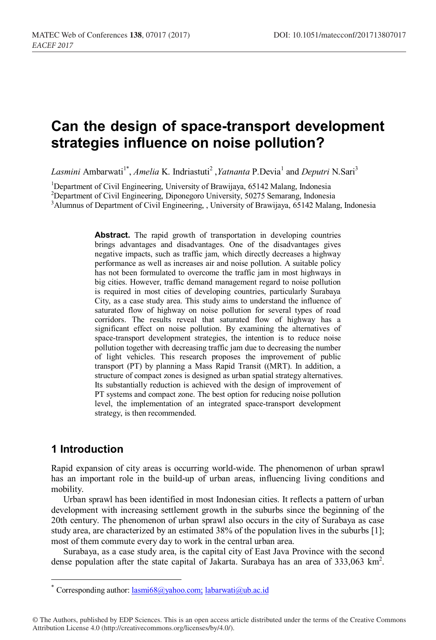# **Can the design of space-transport development strategies influence on noise pollution?**

Lasmini Ambarwati<sup>1\*</sup>, *Amelia* K. Indriastuti<sup>2</sup>, *Yatnanta* P.Devia<sup>1</sup> and *Deputri* N.Sari<sup>3</sup>

<sup>1</sup>Department of Civil Engineering, University of Brawijaya, 65142 Malang, Indonesia

<sup>2</sup> Department of Civil Engineering, Diponegoro University, 50275 Semarang, Indonesia<sup>3</sup> Alumnus of Department of Civil Engineering. University of Brawiiaus, 65142 Malan

<sup>3</sup>Alumnus of Department of Civil Engineering, , University of Brawijaya, 65142 Malang, Indonesia

**Abstract.** The rapid growth of transportation in developing countries brings advantages and disadvantages. One of the disadvantages gives negative impacts, such as traffic jam, which directly decreases a highway performance as well as increases air and noise pollution. A suitable policy has not been formulated to overcome the traffic jam in most highways in big cities. However, traffic demand management regard to noise pollution is required in most cities of developing countries, particularly Surabaya City, as a case study area. This study aims to understand the influence of saturated flow of highway on noise pollution for several types of road corridors. The results reveal that saturated flow of highway has a significant effect on noise pollution. By examining the alternatives of space-transport development strategies, the intention is to reduce noise pollution together with decreasing traffic jam due to decreasing the number of light vehicles. This research proposes the improvement of public transport (PT) by planning a Mass Rapid Transit ((MRT). In addition, a structure of compact zones is designed as urban spatial strategy alternatives. Its substantially reduction is achieved with the design of improvement of PT systems and compact zone. The best option for reducing noise pollution level, the implementation of an integrated space-transport development strategy, is then recommended.

# **1 Introduction**

Rapid expansion of city areas is occurring world-wide. The phenomenon of urban sprawl has an important role in the build-up of urban areas, influencing living conditions and mobility.

Urban sprawl has been identified in most Indonesian cities. It reflects a pattern of urban development with increasing settlement growth in the suburbs since the beginning of the 20th century. The phenomenon of urban sprawl also occurs in the city of Surabaya as case study area, are characterized by an estimated 38% of the population lives in the suburbs [1]; most of them commute every day to work in the central urban area.

Surabaya, as a case study area, is the capital city of East Java Province with the second dense population after the state capital of Jakarta. Surabaya has an area of 333,063 km<sup>2</sup>.

© The Authors, published by EDP Sciences. This is an open access article distributed under the terms of the Creative Commons Attribution License 4.0 (http://creativecommons.org/licenses/by/4.0/).

<sup>\*</sup> Corresponding author:  $lasm68@yahoo.com$ ; labarwati $@ub.ac.id$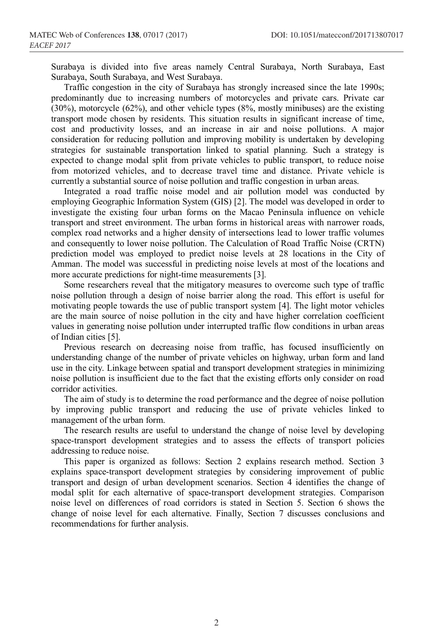Surabaya is divided into five areas namely Central Surabaya, North Surabaya, East Surabaya, South Surabaya, and West Surabaya.

Traffic congestion in the city of Surabaya has strongly increased since the late 1990s; predominantly due to increasing numbers of motorcycles and private cars. Private car (30%), motorcycle (62%), and other vehicle types (8%, mostly minibuses) are the existing transport mode chosen by residents. This situation results in significant increase of time, cost and productivity losses, and an increase in air and noise pollutions. A major consideration for reducing pollution and improving mobility is undertaken by developing strategies for sustainable transportation linked to spatial planning. Such a strategy is expected to change modal split from private vehicles to public transport, to reduce noise from motorized vehicles, and to decrease travel time and distance. Private vehicle is currently a substantial source of noise pollution and traffic congestion in urban areas.

Integrated a road traffic noise model and air pollution model was conducted by employing Geographic Information System (GIS) [2]. The model was developed in order to investigate the existing four urban forms on the Macao Peninsula influence on vehicle transport and street environment. The urban forms in historical areas with narrower roads, complex road networks and a higher density of intersections lead to lower traffic volumes and consequently to lower noise pollution. The Calculation of Road Traffic Noise (CRTN) prediction model was employed to predict noise levels at 28 locations in the City of Amman. The model was successful in predicting noise levels at most of the locations and more accurate predictions for night-time measurements [3].

Some researchers reveal that the mitigatory measures to overcome such type of traffic noise pollution through a design of noise barrier along the road. This effort is useful for motivating people towards the use of public transport system [4]. The light motor vehicles are the main source of noise pollution in the city and have higher correlation coefficient values in generating noise pollution under interrupted traffic flow conditions in urban areas of Indian cities [5].

Previous research on decreasing noise from traffic, has focused insufficiently on understanding change of the number of private vehicles on highway, urban form and land use in the city. Linkage between spatial and transport development strategies in minimizing noise pollution is insufficient due to the fact that the existing efforts only consider on road corridor activities.

The aim of study is to determine the road performance and the degree of noise pollution by improving public transport and reducing the use of private vehicles linked to management of the urban form.

The research results are useful to understand the change of noise level by developing space-transport development strategies and to assess the effects of transport policies addressing to reduce noise.

This paper is organized as follows: Section 2 explains research method. Section 3 explains space-transport development strategies by considering improvement of public transport and design of urban development scenarios. Section 4 identifies the change of modal split for each alternative of space-transport development strategies. Comparison noise level on differences of road corridors is stated in Section 5. Section 6 shows the change of noise level for each alternative. Finally, Section 7 discusses conclusions and recommendations for further analysis.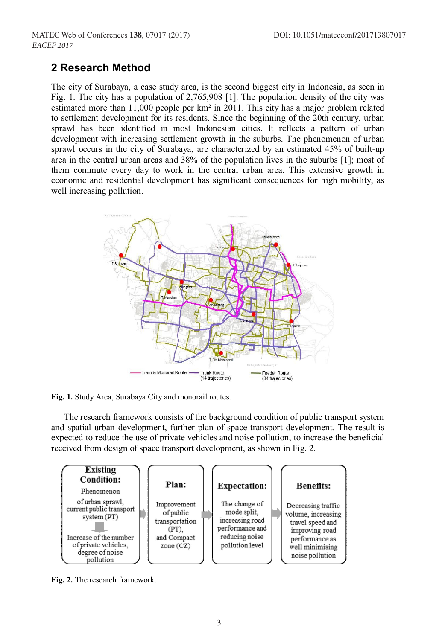# **2 Research Method**

The city of Surabaya, a case study area, is the second biggest city in Indonesia, as seen in Fig. 1. The city has a population of 2,765,908 [1]. The population density of the city was estimated more than 11,000 people per km² in 2011. This city has a major problem related to settlement development for its residents. Since the beginning of the 20th century, urban sprawl has been identified in most Indonesian cities. It reflects a pattern of urban development with increasing settlement growth in the suburbs. The phenomenon of urban sprawl occurs in the city of Surabaya, are characterized by an estimated 45% of built-up area in the central urban areas and 38% of the population lives in the suburbs [1]; most of them commute every day to work in the central urban area. This extensive growth in economic and residential development has significant consequences for high mobility, as well increasing pollution.



**Fig. 1.** Study Area, Surabaya City and monorail routes.

The research framework consists of the background condition of public transport system and spatial urban development, further plan of space-transport development. The result is expected to reduce the use of private vehicles and noise pollution, to increase the beneficial received from design of space transport development, as shown in Fig. 2.



**Fig. 2.** The research framework.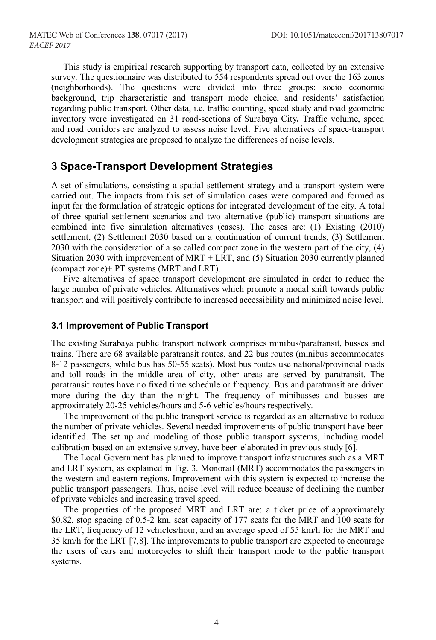This study is empirical research supporting by transport data, collected by an extensive survey. The questionnaire was distributed to 554 respondents spread out over the 163 zones (neighborhoods). The questions were divided into three groups: socio economic background, trip characteristic and transport mode choice, and residents' satisfaction regarding public transport. Other data, i.e. traffic counting, speed study and road geometric inventory were investigated on 31 road-sections of Surabaya City**.** Traffic volume, speed and road corridors are analyzed to assess noise level. Five alternatives of space-transport development strategies are proposed to analyze the differences of noise levels.

## **3 Space-Transport Development Strategies**

A set of simulations, consisting a spatial settlement strategy and a transport system were carried out. The impacts from this set of simulation cases were compared and formed as input for the formulation of strategic options for integrated development of the city. A total of three spatial settlement scenarios and two alternative (public) transport situations are combined into five simulation alternatives (cases). The cases are: (1) Existing (2010) settlement, (2) Settlement 2030 based on a continuation of current trends, (3) Settlement 2030 with the consideration of a so called compact zone in the western part of the city, (4) Situation 2030 with improvement of MRT + LRT, and (5) Situation 2030 currently planned (compact zone)+ PT systems (MRT and LRT).

Five alternatives of space transport development are simulated in order to reduce the large number of private vehicles. Alternatives which promote a modal shift towards public transport and will positively contribute to increased accessibility and minimized noise level.

#### **3.1 Improvement of Public Transport**

The existing Surabaya public transport network comprises minibus/paratransit, busses and trains. There are 68 available paratransit routes, and 22 bus routes (minibus accommodates 8-12 passengers, while bus has 50-55 seats). Most bus routes use national/provincial roads and toll roads in the middle area of city, other areas are served by paratransit. The paratransit routes have no fixed time schedule or frequency. Bus and paratransit are driven more during the day than the night. The frequency of minibusses and busses are approximately 20-25 vehicles/hours and 5-6 vehicles/hours respectively.

The improvement of the public transport service is regarded as an alternative to reduce the number of private vehicles. Several needed improvements of public transport have been identified. The set up and modeling of those public transport systems, including model calibration based on an extensive survey, have been elaborated in previous study [6].

The Local Government has planned to improve transport infrastructures such as a MRT and LRT system, as explained in Fig. 3. Monorail (MRT) accommodates the passengers in the western and eastern regions. Improvement with this system is expected to increase the public transport passengers. Thus, noise level will reduce because of declining the number of private vehicles and increasing travel speed.

The properties of the proposed MRT and LRT are: a ticket price of approximately \$0.82, stop spacing of 0.5-2 km, seat capacity of 177 seats for the MRT and 100 seats for the LRT, frequency of 12 vehicles/hour, and an average speed of 55 km/h for the MRT and 35 km/h for the LRT [7,8]. The improvements to public transport are expected to encourage the users of cars and motorcycles to shift their transport mode to the public transport systems.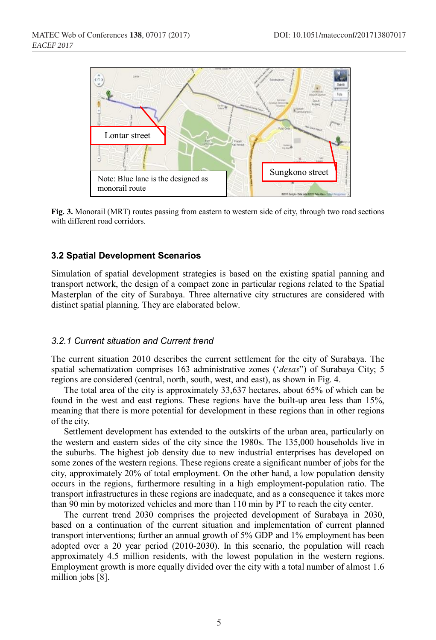

**Fig. 3.** Monorail (MRT) routes passing from eastern to western side of city, through two road sections with different road corridors.

## **3.2 Spatial Development Scenarios**

Simulation of spatial development strategies is based on the existing spatial panning and transport network, the design of a compact zone in particular regions related to the Spatial Masterplan of the city of Surabaya. Three alternative city structures are considered with distinct spatial planning. They are elaborated below.

#### *3.2.1 Current situation and Current trend*

The current situation 2010 describes the current settlement for the city of Surabaya. The spatial schematization comprises 163 administrative zones ('*desas*") of Surabaya City; 5 regions are considered (central, north, south, west, and east), as shown in Fig. 4.

The total area of the city is approximately 33,637 hectares, about 65% of which can be found in the west and east regions. These regions have the built-up area less than 15%, meaning that there is more potential for development in these regions than in other regions of the city.

Settlement development has extended to the outskirts of the urban area, particularly on the western and eastern sides of the city since the 1980s. The 135,000 households live in the suburbs. The highest job density due to new industrial enterprises has developed on some zones of the western regions. These regions create a significant number of jobs for the city, approximately 20% of total employment. On the other hand, a low population density occurs in the regions, furthermore resulting in a high employment-population ratio. The transport infrastructures in these regions are inadequate, and as a consequence it takes more than 90 min by motorized vehicles and more than 110 min by PT to reach the city center.

The current trend 2030 comprises the projected development of Surabaya in 2030, based on a continuation of the current situation and implementation of current planned transport interventions; further an annual growth of 5% GDP and 1% employment has been adopted over a 20 year period (2010-2030). In this scenario, the population will reach approximately 4.5 million residents, with the lowest population in the western regions. Employment growth is more equally divided over the city with a total number of almost 1.6 million jobs [8].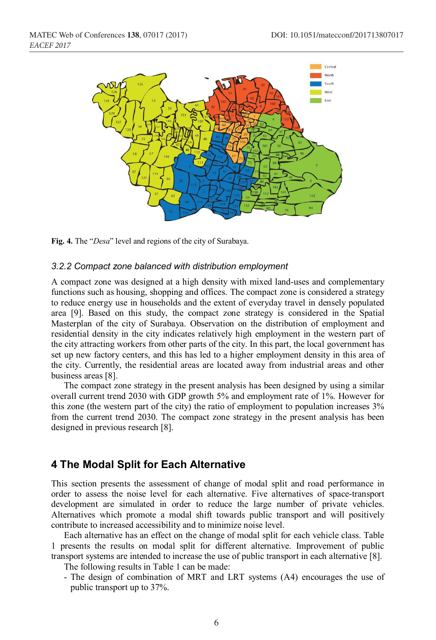



#### *3.2.2 Compact zone balanced with distribution employment*

A compact zone was designed at a high density with mixed land-uses and complementary functions such as housing, shopping and offices. The compact zone is considered a strategy to reduce energy use in households and the extent of everyday travel in densely populated area [9]. Based on this study, the compact zone strategy is considered in the Spatial Masterplan of the city of Surabaya. Observation on the distribution of employment and residential density in the city indicates relatively high employment in the western part of the city attracting workers from other parts of the city. In this part, the local government has set up new factory centers, and this has led to a higher employment density in this area of the city. Currently, the residential areas are located away from industrial areas and other business areas [8].

The compact zone strategy in the present analysis has been designed by using a similar overall current trend 2030 with GDP growth 5% and employment rate of 1%. However for this zone (the western part of the city) the ratio of employment to population increases 3% from the current trend 2030. The compact zone strategy in the present analysis has been designed in previous research [8].

## **4 The Modal Split for Each Alternative**

This section presents the assessment of change of modal split and road performance in order to assess the noise level for each alternative. Five alternatives of space-transport development are simulated in order to reduce the large number of private vehicles. Alternatives which promote a modal shift towards public transport and will positively contribute to increased accessibility and to minimize noise level.

Each alternative has an effect on the change of modal split for each vehicle class. Table 1 presents the results on modal split for different alternative. Improvement of public transport systems are intended to increase the use of public transport in each alternative [8].

The following results in Table 1 can be made:

- The design of combination of MRT and LRT systems (A4) encourages the use of public transport up to 37%.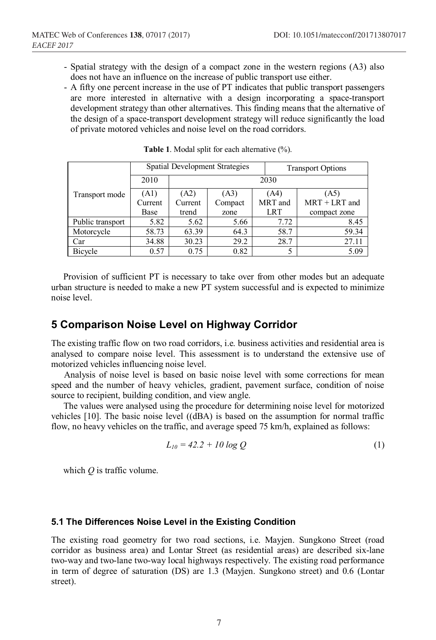- Spatial strategy with the design of a compact zone in the western regions (A3) also does not have an influence on the increase of public transport use either.
- A fifty one percent increase in the use of PT indicates that public transport passengers are more interested in alternative with a design incorporating a space-transport development strategy than other alternatives. This finding means that the alternative of the design of a space-transport development strategy will reduce significantly the load of private motored vehicles and noise level on the road corridors.

|                  |         |                      | Spatial Development Strategies |         | <b>Transport Options</b> |  |  |
|------------------|---------|----------------------|--------------------------------|---------|--------------------------|--|--|
|                  | 2010    | 2030                 |                                |         |                          |  |  |
| Transport mode   | (A1)    | (A2)<br>(A3)<br>(A4) |                                | (A5)    |                          |  |  |
|                  | Current | Current              | Compact                        | MRT and | $MRT + LRT$ and          |  |  |
|                  | Base    | trend                | zone                           | LRT     | compact zone             |  |  |
| Public transport | 5.82    | 5.62                 | 5.66                           | 7.72    | 8.45                     |  |  |
| Motorcycle       | 58.73   | 63.39                | 64.3                           | 58.7    | 59.34                    |  |  |
| Car              | 34.88   | 30.23                | 29.2                           | 28.7    | 27.11                    |  |  |
| Bicycle          | 0.57    | 0.75                 | 0.82                           |         | 5.09                     |  |  |

**Table 1**. Modal split for each alternative (%).

Provision of sufficient PT is necessary to take over from other modes but an adequate urban structure is needed to make a new PT system successful and is expected to minimize noise level.

# **5 Comparison Noise Level on Highway Corridor**

The existing traffic flow on two road corridors, i.e. business activities and residential area is analysed to compare noise level. This assessment is to understand the extensive use of motorized vehicles influencing noise level.

Analysis of noise level is based on basic noise level with some corrections for mean speed and the number of heavy vehicles, gradient, pavement surface, condition of noise source to recipient, building condition, and view angle.

The values were analysed using the procedure for determining noise level for motorized vehicles [10]. The basic noise level ((dBA) is based on the assumption for normal traffic flow, no heavy vehicles on the traffic, and average speed 75 km/h, explained as follows:

$$
L_{10} = 42.2 + 10 \log Q \tag{1}
$$

which *Q* is traffic volume.

### **5.1 The Differences Noise Level in the Existing Condition**

The existing road geometry for two road sections, i.e. Mayjen. Sungkono Street (road corridor as business area) and Lontar Street (as residential areas) are described six-lane two-way and two-lane two-way local highways respectively. The existing road performance in term of degree of saturation (DS) are 1.3 (Mayjen. Sungkono street) and 0.6 (Lontar street).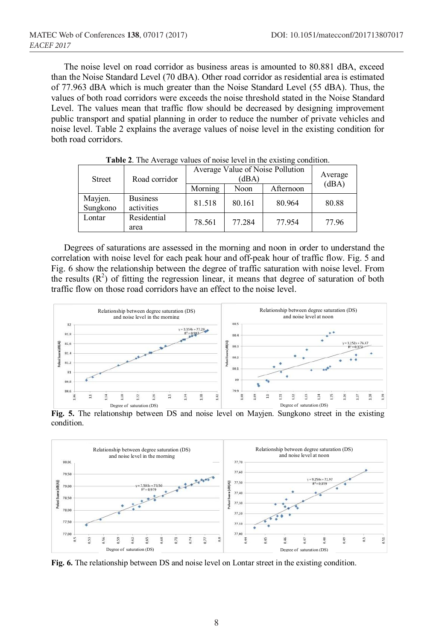The noise level on road corridor as business areas is amounted to 80.881 dBA, exceed than the Noise Standard Level (70 dBA). Other road corridor as residential area is estimated of 77.963 dBA which is much greater than the Noise Standard Level (55 dBA). Thus, the values of both road corridors were exceeds the noise threshold stated in the Noise Standard Level. The values mean that traffic flow should be decreased by designing improvement public transport and spatial planning in order to reduce the number of private vehicles and noise level. Table 2 explains the average values of noise level in the existing condition for both road corridors.

| <b>Street</b>       | Road corridor                 | Average Value of Noise Pollution | Average |           |       |  |
|---------------------|-------------------------------|----------------------------------|---------|-----------|-------|--|
|                     |                               | Morning                          | Noon    | Afternoon | (dBA) |  |
| Mayjen.<br>Sungkono | <b>Business</b><br>activities | 81.518                           | 80.161  | 80.964    | 80.88 |  |
| Lontar              | Residential<br>area           | 78.561                           | 77.284  | 77.954    | 77.96 |  |

**Table 2**. The Average values of noise level in the existing condition.

Degrees of saturations are assessed in the morning and noon in order to understand the correlation with noise level for each peak hour and off-peak hour of traffic flow. Fig. 5 and Fig. 6 show the relationship between the degree of traffic saturation with noise level. From the results  $(R<sup>2</sup>)$  of fitting the regression linear, it means that degree of saturation of both traffic flow on those road corridors have an effect to the noise level.



**Fig. 5.** The relationship between DS and noise level on Mayjen. Sungkono street in the existing condition.



**Fig. 6.** The relationship between DS and noise level on Lontar street in the existing condition.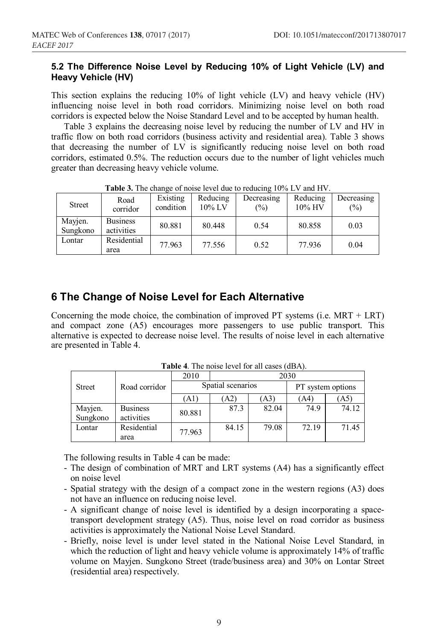## **5.2 The Difference Noise Level by Reducing 10% of Light Vehicle (LV) and Heavy Vehicle (HV)**

This section explains the reducing 10% of light vehicle (LV) and heavy vehicle (HV) influencing noise level in both road corridors. Minimizing noise level on both road corridors is expected below the Noise Standard Level and to be accepted by human health.

Table 3 explains the decreasing noise level by reducing the number of LV and HV in traffic flow on both road corridors (business activity and residential area). Table 3 shows that decreasing the number of LV is significantly reducing noise level on both road corridors, estimated 0.5%. The reduction occurs due to the number of light vehicles much greater than decreasing heavy vehicle volume.

| <b>THEIR SETTLE CHAIRS OF HOLDE TOYOT GUO TO FOUNDING TO 70 LP F AIRE IT F.</b> |                               |                       |                       |                             |                    |                   |  |
|---------------------------------------------------------------------------------|-------------------------------|-----------------------|-----------------------|-----------------------------|--------------------|-------------------|--|
| <b>Street</b>                                                                   | Road<br>corridor              | Existing<br>condition | Reducing<br>$10\%$ LV | Decreasing<br>$\frac{1}{2}$ | Reducing<br>10% HV | Decreasing<br>(%) |  |
| Mayjen.<br>Sungkono                                                             | <b>Business</b><br>activities | 80.881                | 80.448                | 0.54                        | 80.858             | 0.03              |  |
| Lontar                                                                          | Residential<br>area           | 77.963                | 77.556                | 0.52                        | 77.936             | 0.04              |  |

**Table 3.** The change of noise level due to reducing 10% LV and HV.

# **6 The Change of Noise Level for Each Alternative**

Concerning the mode choice, the combination of improved PT systems (i.e. MRT + LRT) and compact zone (A5) encourages more passengers to use public transport. This alternative is expected to decrease noise level. The results of noise level in each alternative are presented in Table 4.

| <b>THEIR T</b> . The holder term for an eases (abr1). |                 |                   |       |       |                   |            |  |
|-------------------------------------------------------|-----------------|-------------------|-------|-------|-------------------|------------|--|
|                                                       | Road corridor   | 2010              | 2030  |       |                   |            |  |
| <b>Street</b>                                         |                 | Spatial scenarios |       |       | PT system options |            |  |
|                                                       |                 | (A1)              | (A2)  | (A3)  | (A4)              | $\Delta 5$ |  |
| Mayjen.                                               | <b>Business</b> | 80.881            | 87.3  | 82.04 | 74.9              | 74.12      |  |
| Sungkono                                              | activities      |                   |       |       |                   |            |  |
| Lontar                                                | Residential     | 77.963            | 84.15 | 79.08 | 72.19             | 71.45      |  |
|                                                       | area            |                   |       |       |                   |            |  |

**Table 4**. The noise level for all cases (dBA).

The following results in Table 4 can be made:

- The design of combination of MRT and LRT systems (A4) has a significantly effect on noise level
- Spatial strategy with the design of a compact zone in the western regions (A3) does not have an influence on reducing noise level.
- A significant change of noise level is identified by a design incorporating a spacetransport development strategy (A5). Thus, noise level on road corridor as business activities is approximately the National Noise Level Standard.
- Briefly, noise level is under level stated in the National Noise Level Standard, in which the reduction of light and heavy vehicle volume is approximately 14% of traffic volume on Mayjen. Sungkono Street (trade/business area) and 30% on Lontar Street (residential area) respectively.